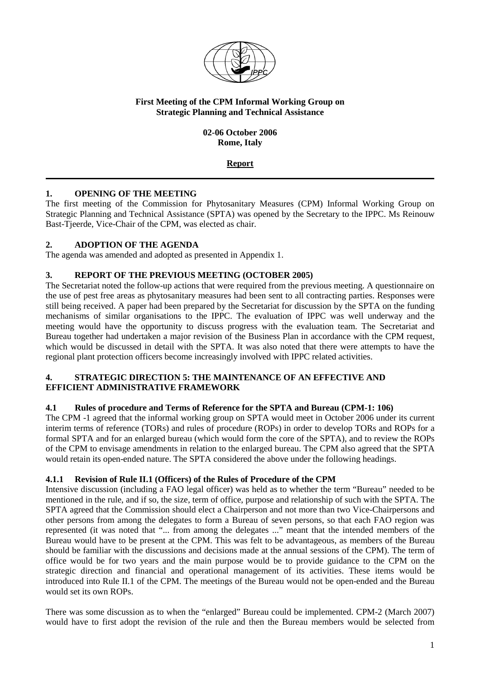

### **First Meeting of the CPM Informal Working Group on Strategic Planning and Technical Assistance**

### **02-06 October 2006 Rome, Italy**

## **Report**

## **1. OPENING OF THE MEETING**

The first meeting of the Commission for Phytosanitary Measures (CPM) Informal Working Group on Strategic Planning and Technical Assistance (SPTA) was opened by the Secretary to the IPPC. Ms Reinouw Bast-Tjeerde, Vice-Chair of the CPM, was elected as chair.

## **2. ADOPTION OF THE AGENDA**

The agenda was amended and adopted as presented in Appendix 1.

## **3. REPORT OF THE PREVIOUS MEETING (OCTOBER 2005)**

The Secretariat noted the follow-up actions that were required from the previous meeting. A questionnaire on the use of pest free areas as phytosanitary measures had been sent to all contracting parties. Responses were still being received. A paper had been prepared by the Secretariat for discussion by the SPTA on the funding mechanisms of similar organisations to the IPPC. The evaluation of IPPC was well underway and the meeting would have the opportunity to discuss progress with the evaluation team. The Secretariat and Bureau together had undertaken a major revision of the Business Plan in accordance with the CPM request, which would be discussed in detail with the SPTA. It was also noted that there were attempts to have the regional plant protection officers become increasingly involved with IPPC related activities.

### **4. STRATEGIC DIRECTION 5: THE MAINTENANCE OF AN EFFECTIVE AND EFFICIENT ADMINISTRATIVE FRAMEWORK**

## **4.1 Rules of procedure and Terms of Reference for the SPTA and Bureau (CPM-1: 106)**

The CPM -1 agreed that the informal working group on SPTA would meet in October 2006 under its current interim terms of reference (TORs) and rules of procedure (ROPs) in order to develop TORs and ROPs for a formal SPTA and for an enlarged bureau (which would form the core of the SPTA), and to review the ROPs of the CPM to envisage amendments in relation to the enlarged bureau. The CPM also agreed that the SPTA would retain its open-ended nature. The SPTA considered the above under the following headings.

## **4.1.1 Revision of Rule II.1 (Officers) of the Rules of Procedure of the CPM**

Intensive discussion (including a FAO legal officer) was held as to whether the term "Bureau" needed to be mentioned in the rule, and if so, the size, term of office, purpose and relationship of such with the SPTA. The SPTA agreed that the Commission should elect a Chairperson and not more than two Vice-Chairpersons and other persons from among the delegates to form a Bureau of seven persons, so that each FAO region was represented (it was noted that "... from among the delegates ..." meant that the intended members of the Bureau would have to be present at the CPM. This was felt to be advantageous, as members of the Bureau should be familiar with the discussions and decisions made at the annual sessions of the CPM). The term of office would be for two years and the main purpose would be to provide guidance to the CPM on the strategic direction and financial and operational management of its activities. These items would be introduced into Rule II.1 of the CPM. The meetings of the Bureau would not be open-ended and the Bureau would set its own ROPs.

There was some discussion as to when the "enlarged" Bureau could be implemented. CPM-2 (March 2007) would have to first adopt the revision of the rule and then the Bureau members would be selected from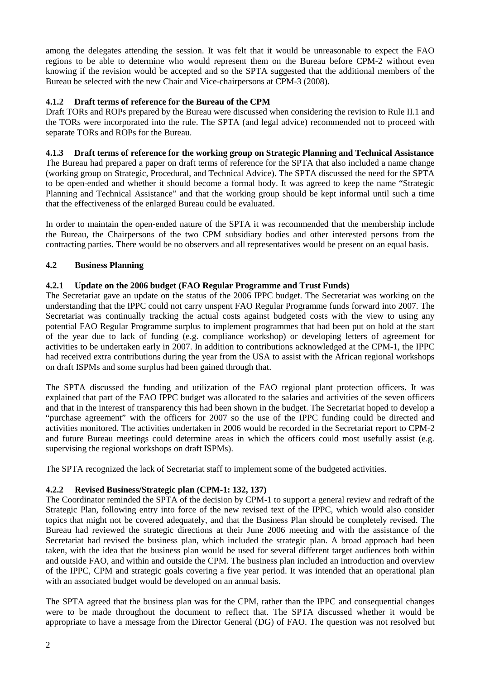among the delegates attending the session. It was felt that it would be unreasonable to expect the FAO regions to be able to determine who would represent them on the Bureau before CPM-2 without even knowing if the revision would be accepted and so the SPTA suggested that the additional members of the Bureau be selected with the new Chair and Vice-chairpersons at CPM-3 (2008).

## **4.1.2 Draft terms of reference for the Bureau of the CPM**

Draft TORs and ROPs prepared by the Bureau were discussed when considering the revision to Rule II.1 and the TORs were incorporated into the rule. The SPTA (and legal advice) recommended not to proceed with separate TORs and ROPs for the Bureau.

## **4.1.3 Draft terms of reference for the working group on Strategic Planning and Technical Assistance**

The Bureau had prepared a paper on draft terms of reference for the SPTA that also included a name change (working group on Strategic, Procedural, and Technical Advice). The SPTA discussed the need for the SPTA to be open-ended and whether it should become a formal body. It was agreed to keep the name "Strategic Planning and Technical Assistance" and that the working group should be kept informal until such a time that the effectiveness of the enlarged Bureau could be evaluated.

In order to maintain the open-ended nature of the SPTA it was recommended that the membership include the Bureau, the Chairpersons of the two CPM subsidiary bodies and other interested persons from the contracting parties. There would be no observers and all representatives would be present on an equal basis.

## **4.2 Business Planning**

## **4.2.1 Update on the 2006 budget (FAO Regular Programme and Trust Funds)**

The Secretariat gave an update on the status of the 2006 IPPC budget. The Secretariat was working on the understanding that the IPPC could not carry unspent FAO Regular Programme funds forward into 2007. The Secretariat was continually tracking the actual costs against budgeted costs with the view to using any potential FAO Regular Programme surplus to implement programmes that had been put on hold at the start of the year due to lack of funding (e.g. compliance workshop) or developing letters of agreement for activities to be undertaken early in 2007. In addition to contributions acknowledged at the CPM-1, the IPPC had received extra contributions during the year from the USA to assist with the African regional workshops on draft ISPMs and some surplus had been gained through that.

The SPTA discussed the funding and utilization of the FAO regional plant protection officers. It was explained that part of the FAO IPPC budget was allocated to the salaries and activities of the seven officers and that in the interest of transparency this had been shown in the budget. The Secretariat hoped to develop a "purchase agreement" with the officers for 2007 so the use of the IPPC funding could be directed and activities monitored. The activities undertaken in 2006 would be recorded in the Secretariat report to CPM-2 and future Bureau meetings could determine areas in which the officers could most usefully assist (e.g. supervising the regional workshops on draft ISPMs).

The SPTA recognized the lack of Secretariat staff to implement some of the budgeted activities.

## **4.2.2 Revised Business/Strategic plan (CPM-1: 132, 137)**

The Coordinator reminded the SPTA of the decision by CPM-1 to support a general review and redraft of the Strategic Plan, following entry into force of the new revised text of the IPPC, which would also consider topics that might not be covered adequately, and that the Business Plan should be completely revised. The Bureau had reviewed the strategic directions at their June 2006 meeting and with the assistance of the Secretariat had revised the business plan, which included the strategic plan. A broad approach had been taken, with the idea that the business plan would be used for several different target audiences both within and outside FAO, and within and outside the CPM. The business plan included an introduction and overview of the IPPC, CPM and strategic goals covering a five year period. It was intended that an operational plan with an associated budget would be developed on an annual basis.

The SPTA agreed that the business plan was for the CPM, rather than the IPPC and consequential changes were to be made throughout the document to reflect that. The SPTA discussed whether it would be appropriate to have a message from the Director General (DG) of FAO. The question was not resolved but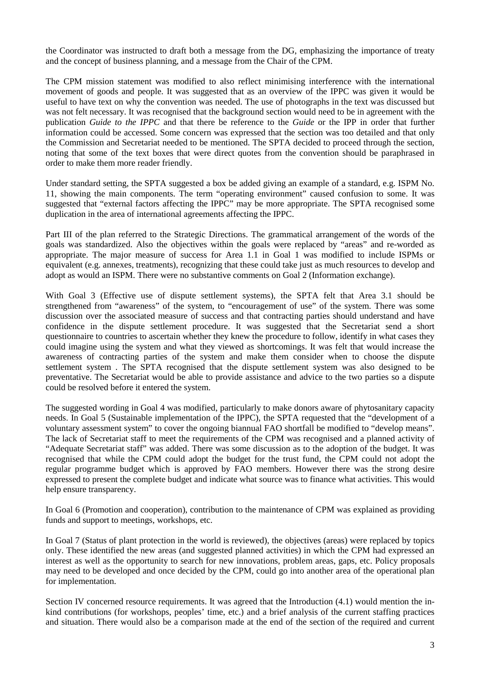the Coordinator was instructed to draft both a message from the DG, emphasizing the importance of treaty and the concept of business planning, and a message from the Chair of the CPM.

The CPM mission statement was modified to also reflect minimising interference with the international movement of goods and people. It was suggested that as an overview of the IPPC was given it would be useful to have text on why the convention was needed. The use of photographs in the text was discussed but was not felt necessary. It was recognised that the background section would need to be in agreement with the publication *Guide to the IPPC* and that there be reference to the *Guide* or the IPP in order that further information could be accessed. Some concern was expressed that the section was too detailed and that only the Commission and Secretariat needed to be mentioned. The SPTA decided to proceed through the section, noting that some of the text boxes that were direct quotes from the convention should be paraphrased in order to make them more reader friendly.

Under standard setting, the SPTA suggested a box be added giving an example of a standard, e.g. ISPM No. 11, showing the main components. The term "operating environment" caused confusion to some. It was suggested that "external factors affecting the IPPC" may be more appropriate. The SPTA recognised some duplication in the area of international agreements affecting the IPPC.

Part III of the plan referred to the Strategic Directions. The grammatical arrangement of the words of the goals was standardized. Also the objectives within the goals were replaced by "areas" and re-worded as appropriate. The major measure of success for Area 1.1 in Goal 1 was modified to include ISPMs or equivalent (e.g. annexes, treatments), recognizing that these could take just as much resources to develop and adopt as would an ISPM. There were no substantive comments on Goal 2 (Information exchange).

With Goal 3 (Effective use of dispute settlement systems), the SPTA felt that Area 3.1 should be strengthened from "awareness" of the system, to "encouragement of use" of the system. There was some discussion over the associated measure of success and that contracting parties should understand and have confidence in the dispute settlement procedure. It was suggested that the Secretariat send a short questionnaire to countries to ascertain whether they knew the procedure to follow, identify in what cases they could imagine using the system and what they viewed as shortcomings. It was felt that would increase the awareness of contracting parties of the system and make them consider when to choose the dispute settlement system . The SPTA recognised that the dispute settlement system was also designed to be preventative. The Secretariat would be able to provide assistance and advice to the two parties so a dispute could be resolved before it entered the system.

The suggested wording in Goal 4 was modified, particularly to make donors aware of phytosanitary capacity needs. In Goal 5 (Sustainable implementation of the IPPC), the SPTA requested that the "development of a voluntary assessment system" to cover the ongoing biannual FAO shortfall be modified to "develop means". The lack of Secretariat staff to meet the requirements of the CPM was recognised and a planned activity of "Adequate Secretariat staff" was added. There was some discussion as to the adoption of the budget. It was recognised that while the CPM could adopt the budget for the trust fund, the CPM could not adopt the regular programme budget which is approved by FAO members. However there was the strong desire expressed to present the complete budget and indicate what source was to finance what activities. This would help ensure transparency.

In Goal 6 (Promotion and cooperation), contribution to the maintenance of CPM was explained as providing funds and support to meetings, workshops, etc.

In Goal 7 (Status of plant protection in the world is reviewed), the objectives (areas) were replaced by topics only. These identified the new areas (and suggested planned activities) in which the CPM had expressed an interest as well as the opportunity to search for new innovations, problem areas, gaps, etc. Policy proposals may need to be developed and once decided by the CPM, could go into another area of the operational plan for implementation.

Section IV concerned resource requirements. It was agreed that the Introduction (4.1) would mention the inkind contributions (for workshops, peoples' time, etc.) and a brief analysis of the current staffing practices and situation. There would also be a comparison made at the end of the section of the required and current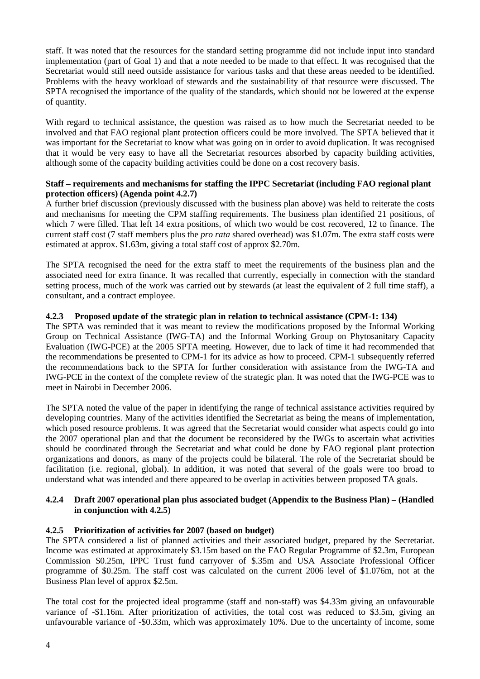staff. It was noted that the resources for the standard setting programme did not include input into standard implementation (part of Goal 1) and that a note needed to be made to that effect. It was recognised that the Secretariat would still need outside assistance for various tasks and that these areas needed to be identified. Problems with the heavy workload of stewards and the sustainability of that resource were discussed. The SPTA recognised the importance of the quality of the standards, which should not be lowered at the expense of quantity.

With regard to technical assistance, the question was raised as to how much the Secretariat needed to be involved and that FAO regional plant protection officers could be more involved. The SPTA believed that it was important for the Secretariat to know what was going on in order to avoid duplication. It was recognised that it would be very easy to have all the Secretariat resources absorbed by capacity building activities, although some of the capacity building activities could be done on a cost recovery basis.

### **Staff – requirements and mechanisms for staffing the IPPC Secretariat (including FAO regional plant protection officers) (Agenda point 4.2.7)**

A further brief discussion (previously discussed with the business plan above) was held to reiterate the costs and mechanisms for meeting the CPM staffing requirements. The business plan identified 21 positions, of which 7 were filled. That left 14 extra positions, of which two would be cost recovered, 12 to finance. The current staff cost (7 staff members plus the *pro rata* shared overhead) was \$1.07m. The extra staff costs were estimated at approx. \$1.63m, giving a total staff cost of approx \$2.70m.

The SPTA recognised the need for the extra staff to meet the requirements of the business plan and the associated need for extra finance. It was recalled that currently, especially in connection with the standard setting process, much of the work was carried out by stewards (at least the equivalent of 2 full time staff), a consultant, and a contract employee.

## **4.2.3 Proposed update of the strategic plan in relation to technical assistance (CPM-1: 134)**

The SPTA was reminded that it was meant to review the modifications proposed by the Informal Working Group on Technical Assistance (IWG-TA) and the Informal Working Group on Phytosanitary Capacity Evaluation (IWG-PCE) at the 2005 SPTA meeting. However, due to lack of time it had recommended that the recommendations be presented to CPM-1 for its advice as how to proceed. CPM-1 subsequently referred the recommendations back to the SPTA for further consideration with assistance from the IWG-TA and IWG-PCE in the context of the complete review of the strategic plan. It was noted that the IWG-PCE was to meet in Nairobi in December 2006.

The SPTA noted the value of the paper in identifying the range of technical assistance activities required by developing countries. Many of the activities identified the Secretariat as being the means of implementation, which posed resource problems. It was agreed that the Secretariat would consider what aspects could go into the 2007 operational plan and that the document be reconsidered by the IWGs to ascertain what activities should be coordinated through the Secretariat and what could be done by FAO regional plant protection organizations and donors, as many of the projects could be bilateral. The role of the Secretariat should be facilitation (i.e. regional, global). In addition, it was noted that several of the goals were too broad to understand what was intended and there appeared to be overlap in activities between proposed TA goals.

#### **4.2.4 Draft 2007 operational plan plus associated budget (Appendix to the Business Plan) – (Handled in conjunction with 4.2.5)**

## **4.2.5 Prioritization of activities for 2007 (based on budget)**

The SPTA considered a list of planned activities and their associated budget, prepared by the Secretariat. Income was estimated at approximately \$3.15m based on the FAO Regular Programme of \$2.3m, European Commission \$0.25m, IPPC Trust fund carryover of \$.35m and USA Associate Professional Officer programme of \$0.25m. The staff cost was calculated on the current 2006 level of \$1.076m, not at the Business Plan level of approx \$2.5m.

The total cost for the projected ideal programme (staff and non-staff) was \$4.33m giving an unfavourable variance of -\$1.16m. After prioritization of activities, the total cost was reduced to \$3.5m, giving an unfavourable variance of -\$0.33m, which was approximately 10%. Due to the uncertainty of income, some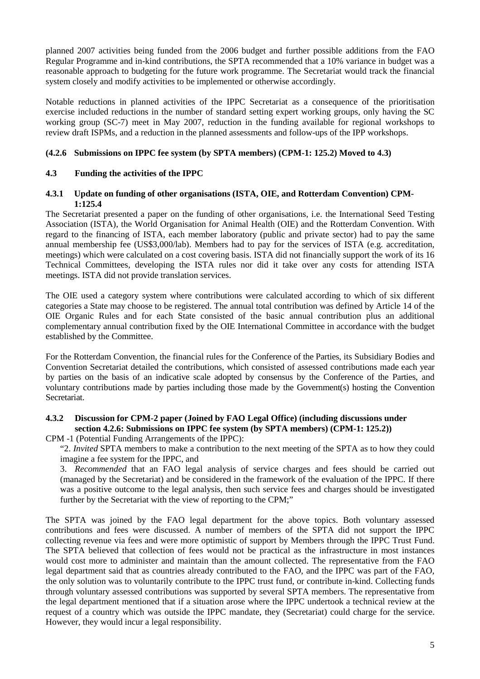planned 2007 activities being funded from the 2006 budget and further possible additions from the FAO Regular Programme and in-kind contributions, the SPTA recommended that a 10% variance in budget was a reasonable approach to budgeting for the future work programme. The Secretariat would track the financial system closely and modify activities to be implemented or otherwise accordingly.

Notable reductions in planned activities of the IPPC Secretariat as a consequence of the prioritisation exercise included reductions in the number of standard setting expert working groups, only having the SC working group (SC-7) meet in May 2007, reduction in the funding available for regional workshops to review draft ISPMs, and a reduction in the planned assessments and follow-ups of the IPP workshops.

## **(4.2.6 Submissions on IPPC fee system (by SPTA members) (CPM-1: 125.2) Moved to 4.3)**

## **4.3 Funding the activities of the IPPC**

### **4.3.1 Update on funding of other organisations (ISTA, OIE, and Rotterdam Convention) CPM-1:125.4**

The Secretariat presented a paper on the funding of other organisations, i.e. the International Seed Testing Association (ISTA), the World Organisation for Animal Health (OIE) and the Rotterdam Convention. With regard to the financing of ISTA, each member laboratory (public and private sector) had to pay the same annual membership fee (US\$3,000/lab). Members had to pay for the services of ISTA (e.g. accreditation, meetings) which were calculated on a cost covering basis. ISTA did not financially support the work of its 16 Technical Committees, developing the ISTA rules nor did it take over any costs for attending ISTA meetings. ISTA did not provide translation services.

The OIE used a category system where contributions were calculated according to which of six different categories a State may choose to be registered. The annual total contribution was defined by Article 14 of the OIE Organic Rules and for each State consisted of the basic annual contribution plus an additional complementary annual contribution fixed by the OIE International Committee in accordance with the budget established by the Committee.

For the Rotterdam Convention, the financial rules for the Conference of the Parties, its Subsidiary Bodies and Convention Secretariat detailed the contributions, which consisted of assessed contributions made each year by parties on the basis of an indicative scale adopted by consensus by the Conference of the Parties, and voluntary contributions made by parties including those made by the Government(s) hosting the Convention Secretariat.

## **4.3.2 Discussion for CPM-2 paper (Joined by FAO Legal Office) (including discussions under section 4.2.6: Submissions on IPPC fee system (by SPTA members) (CPM-1: 125.2))**

CPM -1 (Potential Funding Arrangements of the IPPC):

"2. *Invited* SPTA members to make a contribution to the next meeting of the SPTA as to how they could imagine a fee system for the IPPC, and

 3. *Recommended* that an FAO legal analysis of service charges and fees should be carried out (managed by the Secretariat) and be considered in the framework of the evaluation of the IPPC. If there was a positive outcome to the legal analysis, then such service fees and charges should be investigated further by the Secretariat with the view of reporting to the CPM;"

The SPTA was joined by the FAO legal department for the above topics. Both voluntary assessed contributions and fees were discussed. A number of members of the SPTA did not support the IPPC collecting revenue via fees and were more optimistic of support by Members through the IPPC Trust Fund. The SPTA believed that collection of fees would not be practical as the infrastructure in most instances would cost more to administer and maintain than the amount collected. The representative from the FAO legal department said that as countries already contributed to the FAO, and the IPPC was part of the FAO, the only solution was to voluntarily contribute to the IPPC trust fund, or contribute in-kind. Collecting funds through voluntary assessed contributions was supported by several SPTA members. The representative from the legal department mentioned that if a situation arose where the IPPC undertook a technical review at the request of a country which was outside the IPPC mandate, they (Secretariat) could charge for the service. However, they would incur a legal responsibility.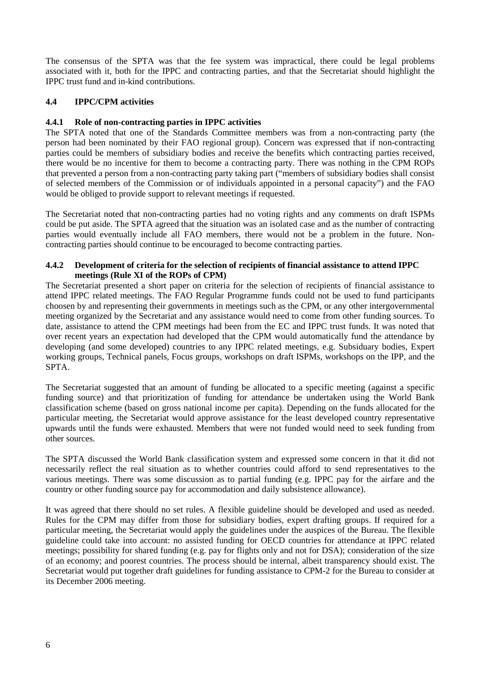The consensus of the SPTA was that the fee system was impractical, there could be legal problems associated with it, both for the IPPC and contracting parties, and that the Secretariat should highlight the IPPC trust fund and in-kind contributions.

## **4.4 IPPC/CPM activities**

### **4.4.1 Role of non-contracting parties in IPPC activities**

The SPTA noted that one of the Standards Committee members was from a non-contracting party (the person had been nominated by their FAO regional group). Concern was expressed that if non-contracting parties could be members of subsidiary bodies and receive the benefits which contracting parties received, there would be no incentive for them to become a contracting party. There was nothing in the CPM ROPs that prevented a person from a non-contracting party taking part ("members of subsidiary bodies shall consist of selected members of the Commission or of individuals appointed in a personal capacity") and the FAO would be obliged to provide support to relevant meetings if requested.

The Secretariat noted that non-contracting parties had no voting rights and any comments on draft ISPMs could be put aside. The SPTA agreed that the situation was an isolated case and as the number of contracting parties would eventually include all FAO members, there would not be a problem in the future. Noncontracting parties should continue to be encouraged to become contracting parties.

### **4.4.2 Development of criteria for the selection of recipients of financial assistance to attend IPPC meetings (Rule XI of the ROPs of CPM)**

The Secretariat presented a short paper on criteria for the selection of recipients of financial assistance to attend IPPC related meetings. The FAO Regular Programme funds could not be used to fund participants choosen by and representing their governments in meetings such as the CPM, or any other intergovernmental meeting organized by the Secretariat and any assistance would need to come from other funding sources. To date, assistance to attend the CPM meetings had been from the EC and IPPC trust funds. It was noted that over recent years an expectation had developed that the CPM would automatically fund the attendance by developing (and some developed) countries to any IPPC related meetings, e.g. Subsiduary bodies, Expert working groups, Technical panels, Focus groups, workshops on draft ISPMs, workshops on the IPP, and the SPTA.

The Secretariat suggested that an amount of funding be allocated to a specific meeting (against a specific funding source) and that prioritization of funding for attendance be undertaken using the World Bank classification scheme (based on gross national income per capita). Depending on the funds allocated for the particular meeting, the Secretariat would approve assistance for the least developed country representative upwards until the funds were exhausted. Members that were not funded would need to seek funding from other sources.

The SPTA discussed the World Bank classification system and expressed some concern in that it did not necessarily reflect the real situation as to whether countries could afford to send representatives to the various meetings. There was some discussion as to partial funding (e.g. IPPC pay for the airfare and the country or other funding source pay for accommodation and daily subsistence allowance).

It was agreed that there should no set rules. A flexible guideline should be developed and used as needed. Rules for the CPM may differ from those for subsidiary bodies, expert drafting groups. If required for a particular meeting, the Secretariat would apply the guidelines under the auspices of the Bureau. The flexible guideline could take into account: no assisted funding for OECD countries for attendance at IPPC related meetings; possibility for shared funding (e.g. pay for flights only and not for DSA); consideration of the size of an economy; and poorest countries. The process should be internal, albeit transparency should exist. The Secretariat would put together draft guidelines for funding assistance to CPM-2 for the Bureau to consider at its December 2006 meeting.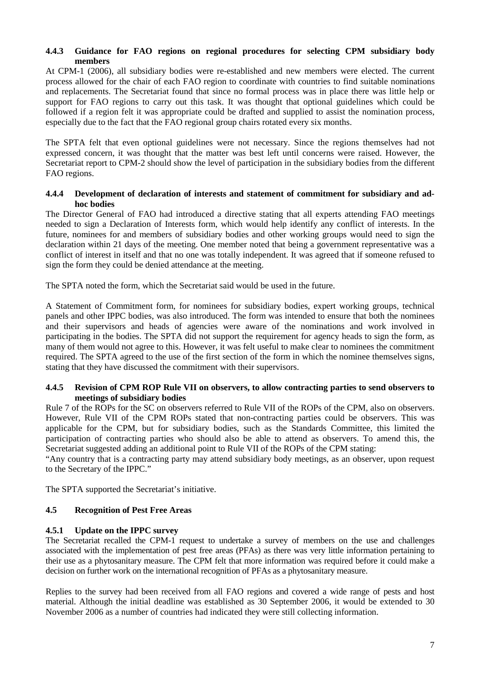### **4.4.3 Guidance for FAO regions on regional procedures for selecting CPM subsidiary body members**

At CPM-1 (2006), all subsidiary bodies were re-established and new members were elected. The current process allowed for the chair of each FAO region to coordinate with countries to find suitable nominations and replacements. The Secretariat found that since no formal process was in place there was little help or support for FAO regions to carry out this task. It was thought that optional guidelines which could be followed if a region felt it was appropriate could be drafted and supplied to assist the nomination process, especially due to the fact that the FAO regional group chairs rotated every six months.

The SPTA felt that even optional guidelines were not necessary. Since the regions themselves had not expressed concern, it was thought that the matter was best left until concerns were raised. However, the Secretariat report to CPM-2 should show the level of participation in the subsidiary bodies from the different FAO regions.

#### **4.4.4 Development of declaration of interests and statement of commitment for subsidiary and adhoc bodies**

The Director General of FAO had introduced a directive stating that all experts attending FAO meetings needed to sign a Declaration of Interests form, which would help identify any conflict of interests. In the future, nominees for and members of subsidiary bodies and other working groups would need to sign the declaration within 21 days of the meeting. One member noted that being a government representative was a conflict of interest in itself and that no one was totally independent. It was agreed that if someone refused to sign the form they could be denied attendance at the meeting.

The SPTA noted the form, which the Secretariat said would be used in the future.

A Statement of Commitment form, for nominees for subsidiary bodies, expert working groups, technical panels and other IPPC bodies, was also introduced. The form was intended to ensure that both the nominees and their supervisors and heads of agencies were aware of the nominations and work involved in participating in the bodies. The SPTA did not support the requirement for agency heads to sign the form, as many of them would not agree to this. However, it was felt useful to make clear to nominees the commitment required. The SPTA agreed to the use of the first section of the form in which the nominee themselves signs, stating that they have discussed the commitment with their supervisors.

### **4.4.5 Revision of CPM ROP Rule VII on observers, to allow contracting parties to send observers to meetings of subsidiary bodies**

Rule 7 of the ROPs for the SC on observers referred to Rule VII of the ROPs of the CPM, also on observers. However, Rule VII of the CPM ROPs stated that non-contracting parties could be observers. This was applicable for the CPM, but for subsidiary bodies, such as the Standards Committee, this limited the participation of contracting parties who should also be able to attend as observers. To amend this, the Secretariat suggested adding an additional point to Rule VII of the ROPs of the CPM stating:

"Any country that is a contracting party may attend subsidiary body meetings, as an observer, upon request to the Secretary of the IPPC."

The SPTA supported the Secretariat's initiative.

## **4.5 Recognition of Pest Free Areas**

#### **4.5.1 Update on the IPPC survey**

The Secretariat recalled the CPM-1 request to undertake a survey of members on the use and challenges associated with the implementation of pest free areas (PFAs) as there was very little information pertaining to their use as a phytosanitary measure. The CPM felt that more information was required before it could make a decision on further work on the international recognition of PFAs as a phytosanitary measure.

Replies to the survey had been received from all FAO regions and covered a wide range of pests and host material. Although the initial deadline was established as 30 September 2006, it would be extended to 30 November 2006 as a number of countries had indicated they were still collecting information.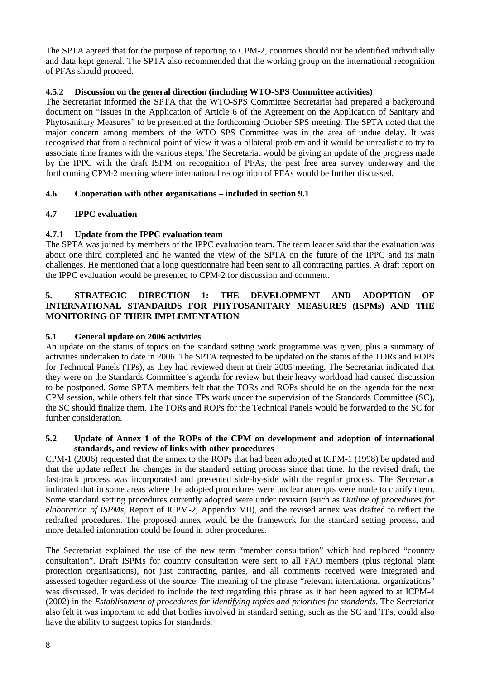The SPTA agreed that for the purpose of reporting to CPM-2, countries should not be identified individually and data kept general. The SPTA also recommended that the working group on the international recognition of PFAs should proceed.

## **4.5.2 Discussion on the general direction (including WTO-SPS Committee activities)**

The Secretariat informed the SPTA that the WTO-SPS Committee Secretariat had prepared a background document on "Issues in the Application of Article 6 of the Agreement on the Application of Sanitary and Phytosanitary Measures" to be presented at the forthcoming October SPS meeting. The SPTA noted that the major concern among members of the WTO SPS Committee was in the area of undue delay. It was recognised that from a technical point of view it was a bilateral problem and it would be unrealistic to try to associate time frames with the various steps. The Secretariat would be giving an update of the progress made by the IPPC with the draft ISPM on recognition of PFAs, the pest free area survey underway and the forthcoming CPM-2 meeting where international recognition of PFAs would be further discussed.

## **4.6 Cooperation with other organisations – included in section 9.1**

## **4.7 IPPC evaluation**

## **4.7.1 Update from the IPPC evaluation team**

The SPTA was joined by members of the IPPC evaluation team. The team leader said that the evaluation was about one third completed and he wanted the view of the SPTA on the future of the IPPC and its main challenges. He mentioned that a long questionnaire had been sent to all contracting parties. A draft report on the IPPC evaluation would be presented to CPM-2 for discussion and comment.

### **5. STRATEGIC DIRECTION 1: THE DEVELOPMENT AND ADOPTION OF INTERNATIONAL STANDARDS FOR PHYTOSANITARY MEASURES (ISPMs) AND THE MONITORING OF THEIR IMPLEMENTATION**

## **5.1 General update on 2006 activities**

An update on the status of topics on the standard setting work programme was given, plus a summary of activities undertaken to date in 2006. The SPTA requested to be updated on the status of the TORs and ROPs for Technical Panels (TPs), as they had reviewed them at their 2005 meeting. The Secretariat indicated that they were on the Standards Committee's agenda for review but their heavy workload had caused discussion to be postponed. Some SPTA members felt that the TORs and ROPs should be on the agenda for the next CPM session, while others felt that since TPs work under the supervision of the Standards Committee (SC), the SC should finalize them. The TORs and ROPs for the Technical Panels would be forwarded to the SC for further consideration.

### **5.2 Update of Annex 1 of the ROPs of the CPM on development and adoption of international standards, and review of links with other procedures**

CPM-1 (2006) requested that the annex to the ROPs that had been adopted at ICPM-1 (1998) be updated and that the update reflect the changes in the standard setting process since that time. In the revised draft, the fast-track process was incorporated and presented side-by-side with the regular process. The Secretariat indicated that in some areas where the adopted procedures were unclear attempts were made to clarify them. Some standard setting procedures currently adopted were under revision (such as *Outline of procedures for elaboration of ISPMs*, Report of ICPM-2, Appendix VII), and the revised annex was drafted to reflect the redrafted procedures. The proposed annex would be the framework for the standard setting process, and more detailed information could be found in other procedures.

The Secretariat explained the use of the new term "member consultation" which had replaced "country consultation". Draft ISPMs for country consultation were sent to all FAO members (plus regional plant protection organisations), not just contracting parties, and all comments received were integrated and assessed together regardless of the source. The meaning of the phrase "relevant international organizations" was discussed. It was decided to include the text regarding this phrase as it had been agreed to at ICPM-4 (2002) in the *Establishment of procedures for identifying topics and priorities for standards*. The Secretariat also felt it was important to add that bodies involved in standard setting, such as the SC and TPs, could also have the ability to suggest topics for standards.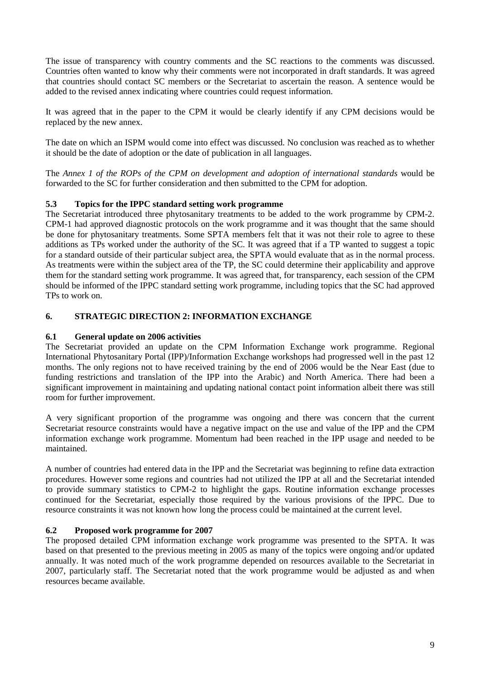The issue of transparency with country comments and the SC reactions to the comments was discussed. Countries often wanted to know why their comments were not incorporated in draft standards. It was agreed that countries should contact SC members or the Secretariat to ascertain the reason. A sentence would be added to the revised annex indicating where countries could request information.

It was agreed that in the paper to the CPM it would be clearly identify if any CPM decisions would be replaced by the new annex.

The date on which an ISPM would come into effect was discussed. No conclusion was reached as to whether it should be the date of adoption or the date of publication in all languages.

The *Annex 1 of the ROPs of the CPM on development and adoption of international standards* would be forwarded to the SC for further consideration and then submitted to the CPM for adoption.

## **5.3 Topics for the IPPC standard setting work programme**

The Secretariat introduced three phytosanitary treatments to be added to the work programme by CPM-2. CPM-1 had approved diagnostic protocols on the work programme and it was thought that the same should be done for phytosanitary treatments. Some SPTA members felt that it was not their role to agree to these additions as TPs worked under the authority of the SC. It was agreed that if a TP wanted to suggest a topic for a standard outside of their particular subject area, the SPTA would evaluate that as in the normal process. As treatments were within the subject area of the TP, the SC could determine their applicability and approve them for the standard setting work programme. It was agreed that, for transparency, each session of the CPM should be informed of the IPPC standard setting work programme, including topics that the SC had approved TPs to work on.

## **6. STRATEGIC DIRECTION 2: INFORMATION EXCHANGE**

## **6.1 General update on 2006 activities**

The Secretariat provided an update on the CPM Information Exchange work programme. Regional International Phytosanitary Portal (IPP)/Information Exchange workshops had progressed well in the past 12 months. The only regions not to have received training by the end of 2006 would be the Near East (due to funding restrictions and translation of the IPP into the Arabic) and North America. There had been a significant improvement in maintaining and updating national contact point information albeit there was still room for further improvement.

A very significant proportion of the programme was ongoing and there was concern that the current Secretariat resource constraints would have a negative impact on the use and value of the IPP and the CPM information exchange work programme. Momentum had been reached in the IPP usage and needed to be maintained.

A number of countries had entered data in the IPP and the Secretariat was beginning to refine data extraction procedures. However some regions and countries had not utilized the IPP at all and the Secretariat intended to provide summary statistics to CPM-2 to highlight the gaps. Routine information exchange processes continued for the Secretariat, especially those required by the various provisions of the IPPC. Due to resource constraints it was not known how long the process could be maintained at the current level.

## **6.2 Proposed work programme for 2007**

The proposed detailed CPM information exchange work programme was presented to the SPTA. It was based on that presented to the previous meeting in 2005 as many of the topics were ongoing and/or updated annually. It was noted much of the work programme depended on resources available to the Secretariat in 2007, particularly staff. The Secretariat noted that the work programme would be adjusted as and when resources became available.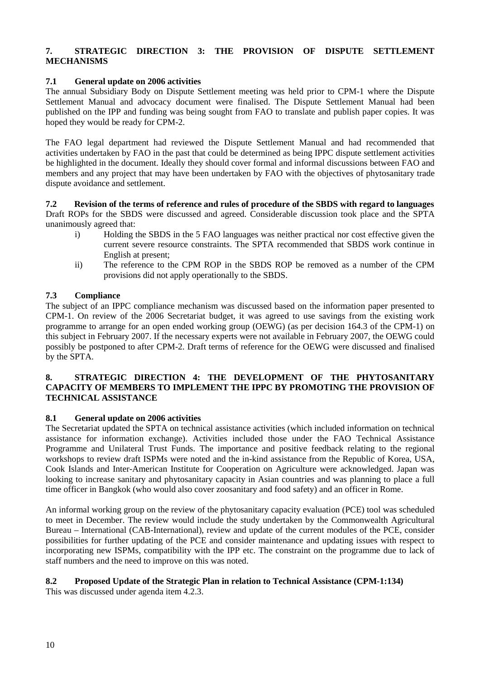## **7. STRATEGIC DIRECTION 3: THE PROVISION OF DISPUTE SETTLEMENT MECHANISMS**

## **7.1 General update on 2006 activities**

The annual Subsidiary Body on Dispute Settlement meeting was held prior to CPM-1 where the Dispute Settlement Manual and advocacy document were finalised. The Dispute Settlement Manual had been published on the IPP and funding was being sought from FAO to translate and publish paper copies. It was hoped they would be ready for CPM-2.

The FAO legal department had reviewed the Dispute Settlement Manual and had recommended that activities undertaken by FAO in the past that could be determined as being IPPC dispute settlement activities be highlighted in the document. Ideally they should cover formal and informal discussions between FAO and members and any project that may have been undertaken by FAO with the objectives of phytosanitary trade dispute avoidance and settlement.

**7.2 Revision of the terms of reference and rules of procedure of the SBDS with regard to languages**  Draft ROPs for the SBDS were discussed and agreed. Considerable discussion took place and the SPTA unanimously agreed that:

- i) Holding the SBDS in the 5 FAO languages was neither practical nor cost effective given the current severe resource constraints. The SPTA recommended that SBDS work continue in English at present;
- ii) The reference to the CPM ROP in the SBDS ROP be removed as a number of the CPM provisions did not apply operationally to the SBDS.

### **7.3 Compliance**

The subject of an IPPC compliance mechanism was discussed based on the information paper presented to CPM-1. On review of the 2006 Secretariat budget, it was agreed to use savings from the existing work programme to arrange for an open ended working group (OEWG) (as per decision 164.3 of the CPM-1) on this subject in February 2007. If the necessary experts were not available in February 2007, the OEWG could possibly be postponed to after CPM-2. Draft terms of reference for the OEWG were discussed and finalised by the SPTA.

### **8. STRATEGIC DIRECTION 4: THE DEVELOPMENT OF THE PHYTOSANITARY CAPACITY OF MEMBERS TO IMPLEMENT THE IPPC BY PROMOTING THE PROVISION OF TECHNICAL ASSISTANCE**

#### **8.1 General update on 2006 activities**

The Secretariat updated the SPTA on technical assistance activities (which included information on technical assistance for information exchange). Activities included those under the FAO Technical Assistance Programme and Unilateral Trust Funds. The importance and positive feedback relating to the regional workshops to review draft ISPMs were noted and the in-kind assistance from the Republic of Korea, USA, Cook Islands and Inter-American Institute for Cooperation on Agriculture were acknowledged. Japan was looking to increase sanitary and phytosanitary capacity in Asian countries and was planning to place a full time officer in Bangkok (who would also cover zoosanitary and food safety) and an officer in Rome.

An informal working group on the review of the phytosanitary capacity evaluation (PCE) tool was scheduled to meet in December. The review would include the study undertaken by the Commonwealth Agricultural Bureau – International (CAB-International), review and update of the current modules of the PCE, consider possibilities for further updating of the PCE and consider maintenance and updating issues with respect to incorporating new ISPMs, compatibility with the IPP etc. The constraint on the programme due to lack of staff numbers and the need to improve on this was noted.

## **8.2 Proposed Update of the Strategic Plan in relation to Technical Assistance (CPM-1:134)**

This was discussed under agenda item 4.2.3.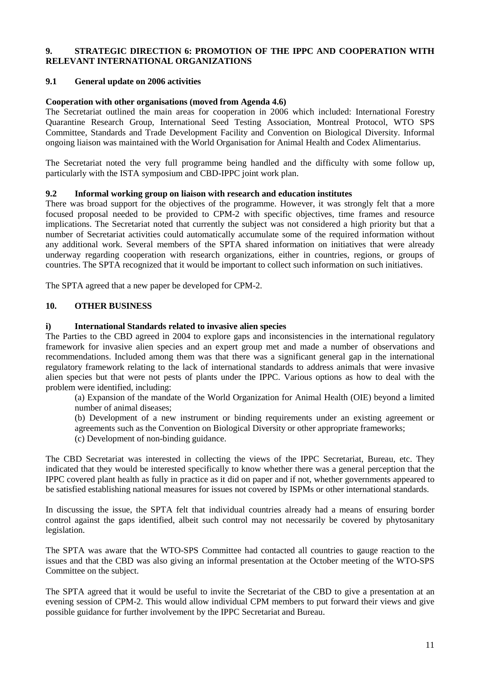### **9. STRATEGIC DIRECTION 6: PROMOTION OF THE IPPC AND COOPERATION WITH RELEVANT INTERNATIONAL ORGANIZATIONS**

### **9.1 General update on 2006 activities**

#### **Cooperation with other organisations (moved from Agenda 4.6)**

The Secretariat outlined the main areas for cooperation in 2006 which included: International Forestry Quarantine Research Group, International Seed Testing Association, Montreal Protocol, WTO SPS Committee, Standards and Trade Development Facility and Convention on Biological Diversity. Informal ongoing liaison was maintained with the World Organisation for Animal Health and Codex Alimentarius.

The Secretariat noted the very full programme being handled and the difficulty with some follow up, particularly with the ISTA symposium and CBD-IPPC joint work plan.

#### **9.2 Informal working group on liaison with research and education institutes**

There was broad support for the objectives of the programme. However, it was strongly felt that a more focused proposal needed to be provided to CPM-2 with specific objectives, time frames and resource implications. The Secretariat noted that currently the subject was not considered a high priority but that a number of Secretariat activities could automatically accumulate some of the required information without any additional work. Several members of the SPTA shared information on initiatives that were already underway regarding cooperation with research organizations, either in countries, regions, or groups of countries. The SPTA recognized that it would be important to collect such information on such initiatives.

The SPTA agreed that a new paper be developed for CPM-2.

## **10. OTHER BUSINESS**

#### **i) International Standards related to invasive alien species**

The Parties to the CBD agreed in 2004 to explore gaps and inconsistencies in the international regulatory framework for invasive alien species and an expert group met and made a number of observations and recommendations. Included among them was that there was a significant general gap in the international regulatory framework relating to the lack of international standards to address animals that were invasive alien species but that were not pests of plants under the IPPC. Various options as how to deal with the problem were identified, including:

(a) Expansion of the mandate of the World Organization for Animal Health (OIE) beyond a limited number of animal diseases;

(b) Development of a new instrument or binding requirements under an existing agreement or agreements such as the Convention on Biological Diversity or other appropriate frameworks;

(c) Development of non-binding guidance.

The CBD Secretariat was interested in collecting the views of the IPPC Secretariat, Bureau, etc. They indicated that they would be interested specifically to know whether there was a general perception that the IPPC covered plant health as fully in practice as it did on paper and if not, whether governments appeared to be satisfied establishing national measures for issues not covered by ISPMs or other international standards.

In discussing the issue, the SPTA felt that individual countries already had a means of ensuring border control against the gaps identified, albeit such control may not necessarily be covered by phytosanitary legislation.

The SPTA was aware that the WTO-SPS Committee had contacted all countries to gauge reaction to the issues and that the CBD was also giving an informal presentation at the October meeting of the WTO-SPS Committee on the subject.

The SPTA agreed that it would be useful to invite the Secretariat of the CBD to give a presentation at an evening session of CPM-2. This would allow individual CPM members to put forward their views and give possible guidance for further involvement by the IPPC Secretariat and Bureau.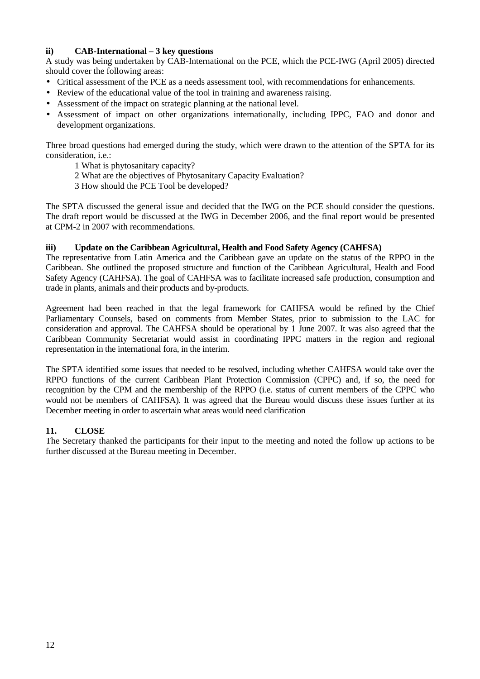## **ii) CAB-International – 3 key questions**

A study was being undertaken by CAB-International on the PCE, which the PCE-IWG (April 2005) directed should cover the following areas:

- Critical assessment of the PCE as a needs assessment tool, with recommendations for enhancements.
- Review of the educational value of the tool in training and awareness raising.
- Assessment of the impact on strategic planning at the national level.
- Assessment of impact on other organizations internationally, including IPPC, FAO and donor and development organizations.

Three broad questions had emerged during the study, which were drawn to the attention of the SPTA for its consideration, i.e.:

- 1 What is phytosanitary capacity?
- 2 What are the objectives of Phytosanitary Capacity Evaluation?
- 3 How should the PCE Tool be developed?

The SPTA discussed the general issue and decided that the IWG on the PCE should consider the questions. The draft report would be discussed at the IWG in December 2006, and the final report would be presented at CPM-2 in 2007 with recommendations.

#### **iii) Update on the Caribbean Agricultural, Health and Food Safety Agency (CAHFSA)**

The representative from Latin America and the Caribbean gave an update on the status of the RPPO in the Caribbean. She outlined the proposed structure and function of the Caribbean Agricultural, Health and Food Safety Agency (CAHFSA). The goal of CAHFSA was to facilitate increased safe production, consumption and trade in plants, animals and their products and by-products.

Agreement had been reached in that the legal framework for CAHFSA would be refined by the Chief Parliamentary Counsels, based on comments from Member States, prior to submission to the LAC for consideration and approval. The CAHFSA should be operational by 1 June 2007. It was also agreed that the Caribbean Community Secretariat would assist in coordinating IPPC matters in the region and regional representation in the international fora, in the interim.

The SPTA identified some issues that needed to be resolved, including whether CAHFSA would take over the RPPO functions of the current Caribbean Plant Protection Commission (CPPC) and, if so, the need for recognition by the CPM and the membership of the RPPO (i.e. status of current members of the CPPC who would not be members of CAHFSA). It was agreed that the Bureau would discuss these issues further at its December meeting in order to ascertain what areas would need clarification

## **11. CLOSE**

The Secretary thanked the participants for their input to the meeting and noted the follow up actions to be further discussed at the Bureau meeting in December.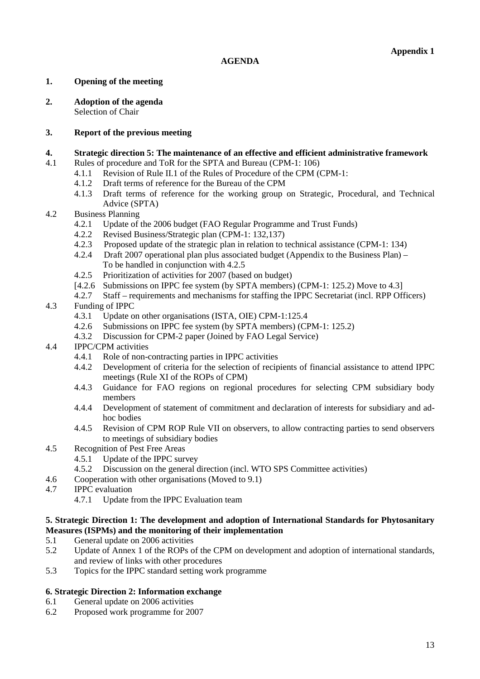### **1. Opening of the meeting**

**2. Adoption of the agenda** Selection of Chair

### **3. Report of the previous meeting**

#### **4. Strategic direction 5: The maintenance of an effective and efficient administrative framework**

- 4.1 Rules of procedure and ToR for the SPTA and Bureau (CPM-1: 106)
	- 4.1.1 Revision of Rule II.1 of the Rules of Procedure of the CPM (CPM-1:
	- 4.1.2 Draft terms of reference for the Bureau of the CPM
	- 4.1.3 Draft terms of reference for the working group on Strategic, Procedural, and Technical Advice (SPTA)
- 4.2 Business Planning
	- 4.2.1 Update of the 2006 budget (FAO Regular Programme and Trust Funds)
	- 4.2.2 Revised Business/Strategic plan (CPM-1: 132,137)
	- 4.2.3 Proposed update of the strategic plan in relation to technical assistance (CPM-1: 134)
	- 4.2.4 Draft 2007 operational plan plus associated budget (Appendix to the Business Plan) To be handled in conjunction with 4.2.5
	- 4.2.5 Prioritization of activities for 2007 (based on budget)
	- [4.2.6 Submissions on IPPC fee system (by SPTA members) (CPM-1: 125.2) Move to 4.3]
	- 4.2.7 Staff requirements and mechanisms for staffing the IPPC Secretariat (incl. RPP Officers)

### 4.3 Funding of IPPC

- 4.3.1 Update on other organisations (ISTA, OIE) CPM-1:125.4
- 4.2.6 Submissions on IPPC fee system (by SPTA members) (CPM-1: 125.2)
- 4.3.2 Discussion for CPM-2 paper (Joined by FAO Legal Service)
- 4.4 IPPC/CPM activities
	- 4.4.1 Role of non-contracting parties in IPPC activities
	- 4.4.2 Development of criteria for the selection of recipients of financial assistance to attend IPPC meetings (Rule XI of the ROPs of CPM)
	- 4.4.3 Guidance for FAO regions on regional procedures for selecting CPM subsidiary body members
	- 4.4.4 Development of statement of commitment and declaration of interests for subsidiary and adhoc bodies
	- 4.4.5 Revision of CPM ROP Rule VII on observers, to allow contracting parties to send observers to meetings of subsidiary bodies
- 4.5 Recognition of Pest Free Areas
	- 4.5.1 Update of the IPPC survey
	- 4.5.2 Discussion on the general direction (incl. WTO SPS Committee activities)
- 4.6 Cooperation with other organisations (Moved to 9.1)
- 4.7 IPPC evaluation
	- 4.7.1 Update from the IPPC Evaluation team

### **5. Strategic Direction 1: The development and adoption of International Standards for Phytosanitary Measures (ISPMs) and the monitoring of their implementation**

- 5.1 General update on 2006 activities
- 5.2 Update of Annex 1 of the ROPs of the CPM on development and adoption of international standards, and review of links with other procedures
- 5.3 Topics for the IPPC standard setting work programme

## **6. Strategic Direction 2: Information exchange**

- 6.1 General update on 2006 activities
- 6.2 Proposed work programme for 2007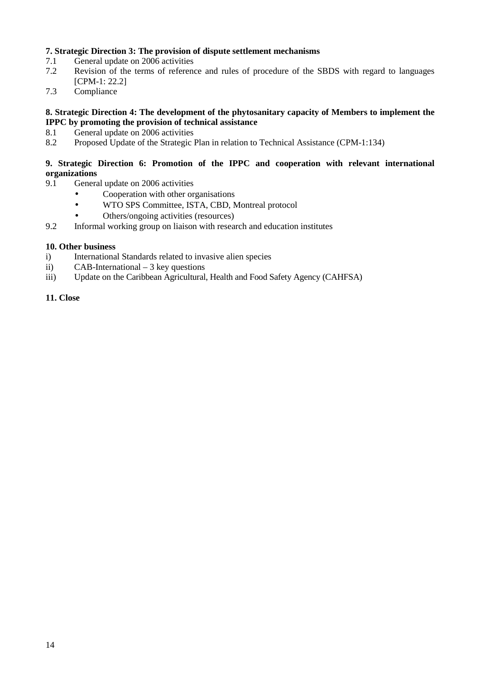## **7. Strategic Direction 3: The provision of dispute settlement mechanisms**

- 7.1 General update on 2006 activities
- 7.2 Revision of the terms of reference and rules of procedure of the SBDS with regard to languages [CPM-1: 22.2]
- 7.3 Compliance

### **8. Strategic Direction 4: The development of the phytosanitary capacity of Members to implement the IPPC by promoting the provision of technical assistance**

- 8.1 General update on 2006 activities
- 8.2 Proposed Update of the Strategic Plan in relation to Technical Assistance (CPM-1:134)

### **9. Strategic Direction 6: Promotion of the IPPC and cooperation with relevant international organizations**

- 9.1 General update on 2006 activities
	- Cooperation with other organisations
	- WTO SPS Committee, ISTA, CBD, Montreal protocol
	- Others/ongoing activities (resources)
- 9.2 Informal working group on liaison with research and education institutes

### **10. Other business**

- i) International Standards related to invasive alien species
- ii) CAB-International 3 key questions
- iii) Update on the Caribbean Agricultural, Health and Food Safety Agency (CAHFSA)

## **11. Close**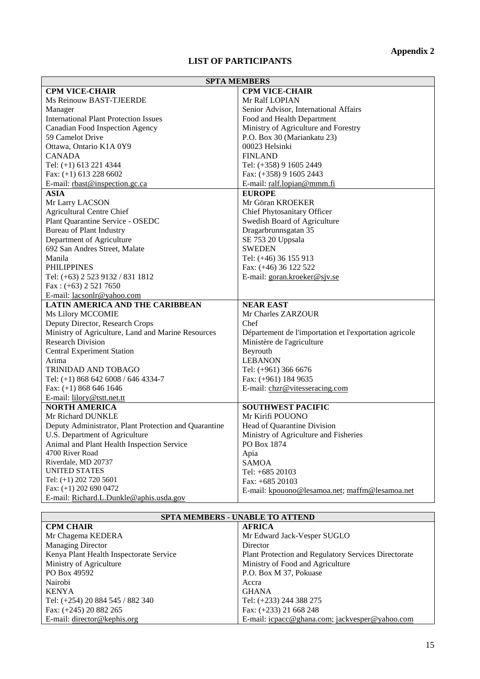# **LIST OF PARTICIPANTS**

| <b>SPTA MEMBERS</b>                                   |                                                        |  |
|-------------------------------------------------------|--------------------------------------------------------|--|
| <b>CPM VICE-CHAIR</b>                                 | <b>CPM VICE-CHAIR</b>                                  |  |
| Ms Reinouw BAST-TJEERDE                               | Mr Ralf LOPIAN                                         |  |
| Manager                                               | Senior Advisor, International Affairs                  |  |
| <b>International Plant Protection Issues</b>          | Food and Health Department                             |  |
| <b>Canadian Food Inspection Agency</b>                | Ministry of Agriculture and Forestry                   |  |
| 59 Camelot Drive                                      | P.O. Box 30 (Mariankatu 23)                            |  |
| Ottawa, Ontario K1A 0Y9                               | 00023 Helsinki                                         |  |
| <b>CANADA</b>                                         | <b>FINLAND</b>                                         |  |
| Tel: (+1) 613 221 4344                                | Tel: (+358) 9 1605 2449                                |  |
| Fax: $(+1)$ 613 228 6602                              | Fax: (+358) 9 1605 2443                                |  |
| E-mail: rbast@inspection.gc.ca                        | E-mail: ralf.lopian@mmm.fi                             |  |
| <b>ASIA</b>                                           | <b>EUROPE</b>                                          |  |
| Mr Larry LACSON                                       | Mr Göran KROEKER                                       |  |
| <b>Agricultural Centre Chief</b>                      | Chief Phytosanitary Officer                            |  |
| Plant Quarantine Service - OSEDC                      | Swedish Board of Agriculture                           |  |
| <b>Bureau of Plant Industry</b>                       | Dragarbrunnsgatan 35                                   |  |
| Department of Agriculture                             | SE 753 20 Uppsala                                      |  |
| 692 San Andres Street, Malate                         | <b>SWEDEN</b>                                          |  |
| Manila                                                | Tel: (+46) 36 155 913                                  |  |
| <b>PHILIPPINES</b>                                    | Fax: (+46) 36 122 522                                  |  |
| Tel: (+63) 2 523 9132 / 831 1812                      | E-mail: goran.kroeker@sjv.se                           |  |
| Fax: $(+63)$ 2 521 7650                               |                                                        |  |
| E-mail: lacsonlr@yahoo.com                            |                                                        |  |
| <b>LATIN AMERICA AND THE CARIBBEAN</b>                | <b>NEAR EAST</b>                                       |  |
| Ms Lilory MCCOMIE                                     | Mr Charles ZARZOUR                                     |  |
| Deputy Director, Research Crops                       | Chef                                                   |  |
| Ministry of Agriculture, Land and Marine Resources    | Département de l'importation et l'exportation agricole |  |
| <b>Research Division</b>                              | Ministère de l'agriculture                             |  |
| <b>Central Experiment Station</b>                     | Beyrouth                                               |  |
| Arima                                                 | <b>LEBANON</b>                                         |  |
| TRINIDAD AND TOBAGO                                   | Tel: (+961) 366 6676                                   |  |
| Tel: (+1) 868 642 6008 / 646 4334-7                   | Fax: (+961) 184 9635                                   |  |
| Fax: (+1) 868 646 1646                                | E-mail: chzr@vitesseracing.com                         |  |
| E-mail: lilory@tstt.net.tt                            |                                                        |  |
| <b>NORTH AMERICA</b>                                  | <b>SOUTHWEST PACIFIC</b>                               |  |
| Mr Richard DUNKLE                                     | Mr Kirifi POUONO                                       |  |
| Deputy Administrator, Plant Protection and Quarantine | Head of Quarantine Division                            |  |
| U.S. Department of Agriculture                        | Ministry of Agriculture and Fisheries                  |  |
| Animal and Plant Health Inspection Service            | PO Box 1874                                            |  |
| 4700 River Road                                       | Apia                                                   |  |
| Riverdale, MD 20737                                   | <b>SAMOA</b>                                           |  |
| <b>UNITED STATES</b>                                  | Tel: +685 20103                                        |  |
| Tel: (+1) 202 720 5601                                | Fax: +685 20103                                        |  |
| Fax: $(+1)$ 202 690 0472                              | E-mail: kpouono@lesamoa.net; maffm@lesamoa.net         |  |
| E-mail: Richard.L.Dunkle@aphis.usda.gov               |                                                        |  |

| <b>SPTA MEMBERS - UNABLE TO ATTEND</b>  |                                                             |  |
|-----------------------------------------|-------------------------------------------------------------|--|
| <b>CPM CHAIR</b>                        | <b>AFRICA</b>                                               |  |
| Mr Chagema KEDERA                       | Mr Edward Jack-Vesper SUGLO                                 |  |
| <b>Managing Director</b>                | Director                                                    |  |
| Kenya Plant Health Inspectorate Service | <b>Plant Protection and Regulatory Services Directorate</b> |  |
| Ministry of Agriculture                 | Ministry of Food and Agriculture                            |  |
| PO Box 49592                            | P.O. Box M 37, Pokuase                                      |  |
| Nairobi                                 | Accra                                                       |  |
| <b>KENYA</b>                            | <b>GHANA</b>                                                |  |
| Tel: (+254) 20 884 545 / 882 340        | Tel: (+233) 244 388 275                                     |  |
| Fax: $(+245)$ 20 882 265                | Fax: (+233) 21 668 248                                      |  |
| E-mail: director@kephis.org             | E-mail: icpacc@ghana.com; jackvesper@yahoo.com              |  |